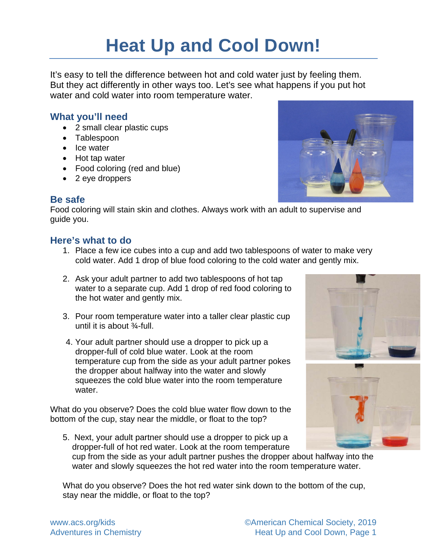# **Heat Up and Cool Down!**

It's easy to tell the difference between hot and cold water just by feeling them. But they act differently in other ways too. Let's see what happens if you put hot water and cold water into room temperature water.

#### **What you'll need**

- 2 small clear plastic cups
- Tablespoon
- Ice water
- Hot tap water
- Food coloring (red and blue)
- 2 eye droppers



Food coloring will stain skin and clothes. Always work with an adult to supervise and guide you.

#### **Here's what to do**

- 1. Place a few ice cubes into a cup and add two tablespoons of water to make very cold water. Add 1 drop of blue food coloring to the cold water and gently mix.
- 2. Ask your adult partner to add two tablespoons of hot tap water to a separate cup. Add 1 drop of red food coloring to the hot water and gently mix.
- 3. Pour room temperature water into a taller clear plastic cup until it is about ¾-full.
- 4. Your adult partner should use a dropper to pick up a dropper-full of cold blue water. Look at the room temperature cup from the side as your adult partner pokes the dropper about halfway into the water and slowly squeezes the cold blue water into the room temperature water.

What do you observe? Does the cold blue water flow down to the bottom of the cup, stay near the middle, or float to the top?

5. Next, your adult partner should use a dropper to pick up a dropper-full of hot red water. Look at the room temperature



cup from the side as your adult partner pushes the dropper about halfway into the water and slowly squeezes the hot red water into the room temperature water.

What do you observe? Does the hot red water sink down to the bottom of the cup, stay near the middle, or float to the top?

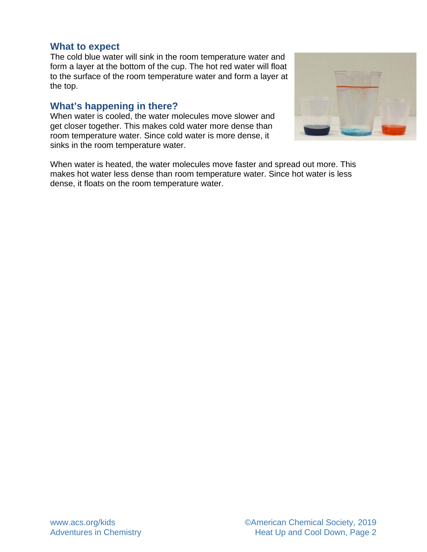#### **What to expect**

The cold blue water will sink in the room temperature water and form a layer at the bottom of the cup. The hot red water will float to the surface of the room temperature water and form a layer at the top.

#### **What's happening in there?**

When water is cooled, the water molecules move slower and get closer together. This makes cold water more dense than room temperature water. Since cold water is more dense, it sinks in the room temperature water.



When water is heated, the water molecules move faster and spread out more. This makes hot water less dense than room temperature water. Since hot water is less dense, it floats on the room temperature water.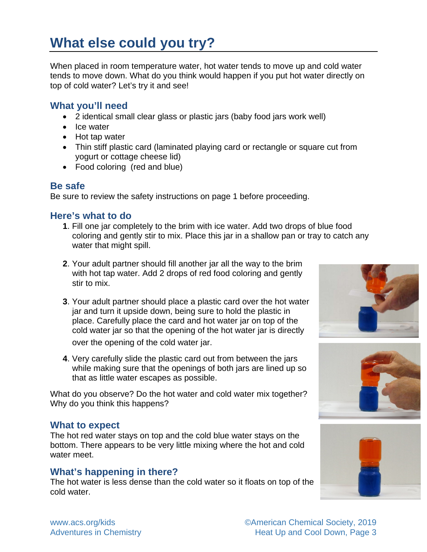## **What else could you try?**

When placed in room temperature water, hot water tends to move up and cold water tends to move down. What do you think would happen if you put hot water directly on top of cold water? Let's try it and see!

#### **What you'll need**

- 2 identical small clear glass or plastic jars (baby food jars work well)
- Ice water
- Hot tap water
- Thin stiff plastic card (laminated playing card or rectangle or square cut from yogurt or cottage cheese lid)
- Food coloring (red and blue)

#### **Be safe**

Be sure to review the safety instructions on page 1 before proceeding.

#### **Here's what to do**

- **1**. Fill one jar completely to the brim with ice water. Add two drops of blue food coloring and gently stir to mix. Place this jar in a shallow pan or tray to catch any water that might spill.
- **2**. Your adult partner should fill another jar all the way to the brim with hot tap water. Add 2 drops of red food coloring and gently stir to mix.
- **3**. Your adult partner should place a plastic card over the hot water jar and turn it upside down, being sure to hold the plastic in place. Carefully place the card and hot water jar on top of the cold water jar so that the opening of the hot water jar is directly over the opening of the cold water jar.
- **4**. Very carefully slide the plastic card out from between the jars while making sure that the openings of both jars are lined up so that as little water escapes as possible.

What do you observe? Do the hot water and cold water mix together? Why do you think this happens?

#### **What to expect**

The hot red water stays on top and the cold blue water stays on the bottom. There appears to be very little mixing where the hot and cold water meet.

### **What's happening in there?**

The hot water is less dense than the cold water so it floats on top of the cold water.







[www.acs.org/kids](http://www.acs.org/kids) 
www.acs.org/kids

www.acs.org/kids

www.acs.org/kids

www.acsing www.acs control by the state of the state of the state of the state of the state of the state of the state of the state of the state of the Adventures in Chemistry **Adventures** in Chemistry **Adventures** in Chemistry **Adventures** in Chemistry